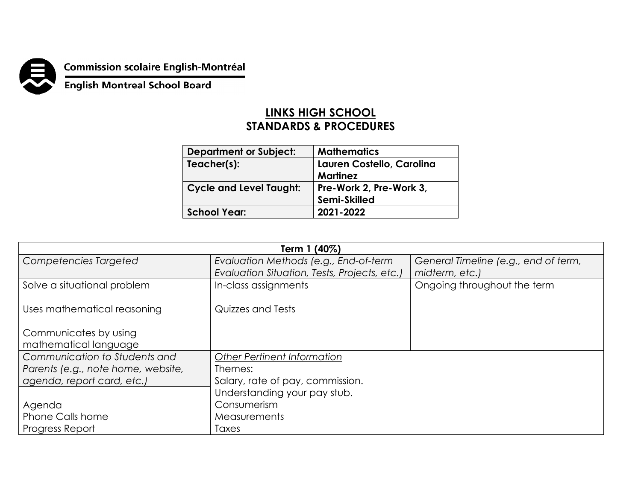

**Commission scolaire English-Montréal<br>English Montreal School Board** 

## **LINKS HIGH SCHOOL STANDARDS & PROCEDURES**

| <b>Department or Subject:</b>  | <b>Mathematics</b>        |  |
|--------------------------------|---------------------------|--|
| Teacher(s):                    | Lauren Costello, Carolina |  |
|                                | <b>Martinez</b>           |  |
| <b>Cycle and Level Taught:</b> | Pre-Work 2, Pre-Work 3,   |  |
|                                | Semi-Skilled              |  |
| <b>School Year:</b>            | 2021-2022                 |  |

| Term 1 (40%)                       |                                              |                                      |  |  |
|------------------------------------|----------------------------------------------|--------------------------------------|--|--|
| Competencies Targeted              | Evaluation Methods (e.g., End-of-term        | General Timeline (e.g., end of term, |  |  |
|                                    | Evaluation Situation, Tests, Projects, etc.) | midterm, etc.)                       |  |  |
| Solve a situational problem        | In-class assignments                         | Ongoing throughout the term          |  |  |
|                                    |                                              |                                      |  |  |
| Uses mathematical reasoning        | Quizzes and Tests                            |                                      |  |  |
|                                    |                                              |                                      |  |  |
| Communicates by using              |                                              |                                      |  |  |
| mathematical language              |                                              |                                      |  |  |
| Communication to Students and      | Other Pertinent Information                  |                                      |  |  |
| Parents (e.g., note home, website, | Themes:                                      |                                      |  |  |
| agenda, report card, etc.)         | Salary, rate of pay, commission.             |                                      |  |  |
|                                    | Understanding your pay stub.                 |                                      |  |  |
| Agenda                             | Consumerism                                  |                                      |  |  |
| <b>Phone Calls home</b>            | Measurements                                 |                                      |  |  |
| Progress Report                    | Taxes                                        |                                      |  |  |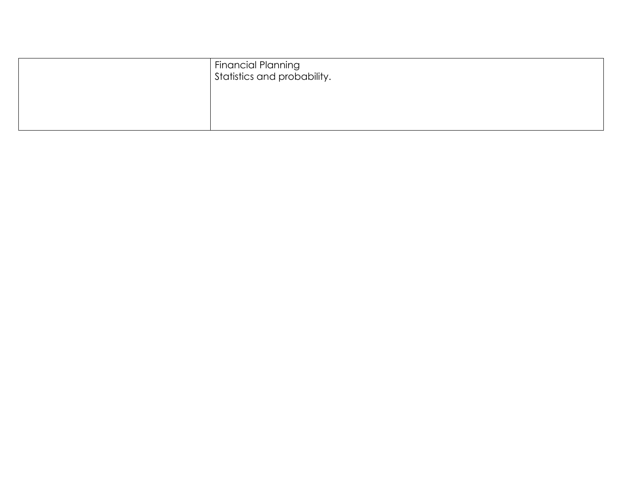| Financial Planning<br>Statistics and probability. |
|---------------------------------------------------|
|                                                   |
|                                                   |